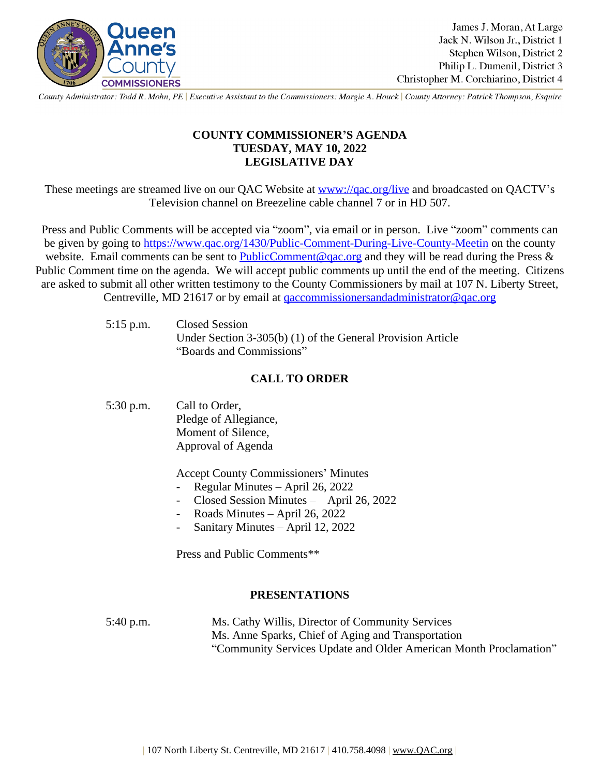

County Administrator: Todd R. Mohn, PE | Executive Assistant to the Commissioners: Margie A. Houck | County Attorney: Patrick Thompson, Esquire

# **COUNTY COMMISSIONER'S AGENDA TUESDAY, MAY 10, 2022 LEGISLATIVE DAY**

These meetings are streamed live on our QAC Website at [www://qac.org/live](https://qac.org/live) and broadcasted on QACTV's Television channel on Breezeline cable channel 7 or in HD 507.

Press and Public Comments will be accepted via "zoom", via email or in person. Live "zoom" comments can be given by going to <https://www.qac.org/1430/Public-Comment-During-Live-County-Meetin>on the county website. Email comments can be sent to **PublicComment**@qac.org and they will be read during the Press  $\&$ Public Comment time on the agenda. We will accept public comments up until the end of the meeting. Citizens are asked to submit all other written testimony to the County Commissioners by mail at 107 N. Liberty Street, Centreville, MD 21617 or by email at [qaccommissionersandadministrator@qac.org](mailto:qaccommissionersandadministrator@qac.org)

> 5:15 p.m. Closed Session Under Section 3-305(b) (1) of the General Provision Article "Boards and Commissions"

# **CALL TO ORDER**

| 5:30 p.m. | Call to Order,        |
|-----------|-----------------------|
|           | Pledge of Allegiance, |
|           | Moment of Silence,    |
|           | Approval of Agenda    |
|           |                       |

Accept County Commissioners' Minutes

- Regular Minutes April 26, 2022
- Closed Session Minutes April 26, 2022
- Roads Minutes April 26, 2022
	- Sanitary Minutes April 12, 2022

Press and Public Comments\*\*

### **PRESENTATIONS**

| $5:40$ p.m. | Ms. Cathy Willis, Director of Community Services                  |
|-------------|-------------------------------------------------------------------|
|             | Ms. Anne Sparks, Chief of Aging and Transportation                |
|             | "Community Services Update and Older American Month Proclamation" |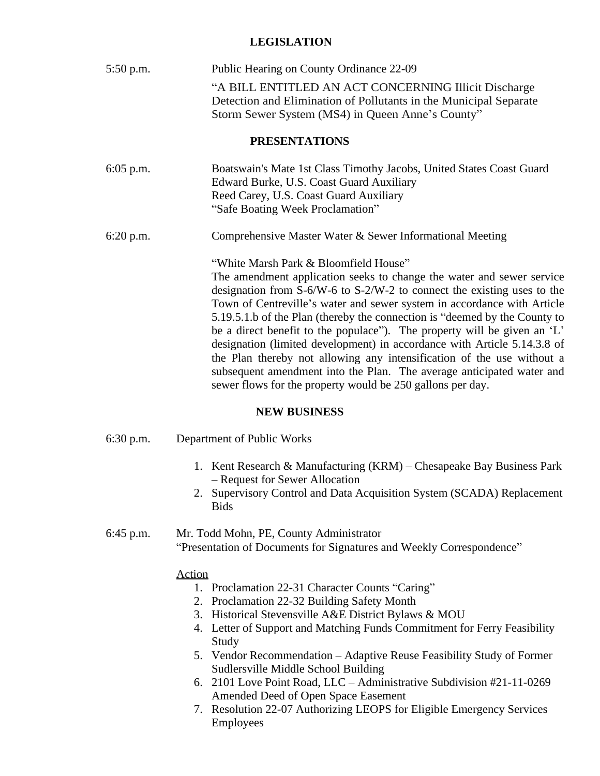### **LEGISLATION**

| $5:50$ p.m. | Public Hearing on County Ordinance 22-09                                                                                                                                                                                                                                                                                                                                                                                                                                                                                                                                                                                                                                                                                    |  |  |
|-------------|-----------------------------------------------------------------------------------------------------------------------------------------------------------------------------------------------------------------------------------------------------------------------------------------------------------------------------------------------------------------------------------------------------------------------------------------------------------------------------------------------------------------------------------------------------------------------------------------------------------------------------------------------------------------------------------------------------------------------------|--|--|
|             | "A BILL ENTITLED AN ACT CONCERNING Illicit Discharge<br>Detection and Elimination of Pollutants in the Municipal Separate<br>Storm Sewer System (MS4) in Queen Anne's County"                                                                                                                                                                                                                                                                                                                                                                                                                                                                                                                                               |  |  |
|             | <b>PRESENTATIONS</b>                                                                                                                                                                                                                                                                                                                                                                                                                                                                                                                                                                                                                                                                                                        |  |  |
| $6:05$ p.m. | Boatswain's Mate 1st Class Timothy Jacobs, United States Coast Guard<br>Edward Burke, U.S. Coast Guard Auxiliary<br>Reed Carey, U.S. Coast Guard Auxiliary<br>"Safe Boating Week Proclamation"                                                                                                                                                                                                                                                                                                                                                                                                                                                                                                                              |  |  |
| $6:20$ p.m. | Comprehensive Master Water & Sewer Informational Meeting                                                                                                                                                                                                                                                                                                                                                                                                                                                                                                                                                                                                                                                                    |  |  |
|             | "White Marsh Park & Bloomfield House"<br>The amendment application seeks to change the water and sewer service<br>designation from S-6/W-6 to S-2/W-2 to connect the existing uses to the<br>Town of Centreville's water and sewer system in accordance with Article<br>5.19.5.1.b of the Plan (thereby the connection is "deemed by the County to<br>be a direct benefit to the populace"). The property will be given an 'L'<br>designation (limited development) in accordance with Article 5.14.3.8 of<br>the Plan thereby not allowing any intensification of the use without a<br>subsequent amendment into the Plan. The average anticipated water and<br>sewer flows for the property would be 250 gallons per day. |  |  |
|             | MEW DHEIMECC                                                                                                                                                                                                                                                                                                                                                                                                                                                                                                                                                                                                                                                                                                                |  |  |

#### **NEW BUSINESS**

| $6:30$ p.m. | Department of Public Works |  |  |
|-------------|----------------------------|--|--|
|-------------|----------------------------|--|--|

- 1. Kent Research & Manufacturing (KRM) Chesapeake Bay Business Park – Request for Sewer Allocation
- 2. Supervisory Control and Data Acquisition System (SCADA) Replacement Bids

### 6:45 p.m. Mr. Todd Mohn, PE, County Administrator "Presentation of Documents for Signatures and Weekly Correspondence"

#### Action

- 1. Proclamation 22-31 Character Counts "Caring"
- 2. Proclamation 22-32 Building Safety Month
- 3. Historical Stevensville A&E District Bylaws & MOU
- 4. Letter of Support and Matching Funds Commitment for Ferry Feasibility Study
- 5. Vendor Recommendation Adaptive Reuse Feasibility Study of Former Sudlersville Middle School Building
- 6. 2101 Love Point Road, LLC Administrative Subdivision #21-11-0269 Amended Deed of Open Space Easement
- 7. Resolution 22-07 Authorizing LEOPS for Eligible Emergency Services Employees